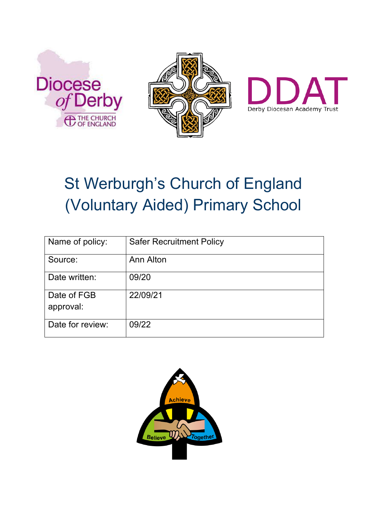





# St Werburgh's Church of England (Voluntary Aided) Primary School

| Name of policy:          | <b>Safer Recruitment Policy</b> |
|--------------------------|---------------------------------|
| Source:                  | Ann Alton                       |
| Date written:            | 09/20                           |
| Date of FGB<br>approval: | 22/09/21                        |
| Date for review:         | 09/22                           |

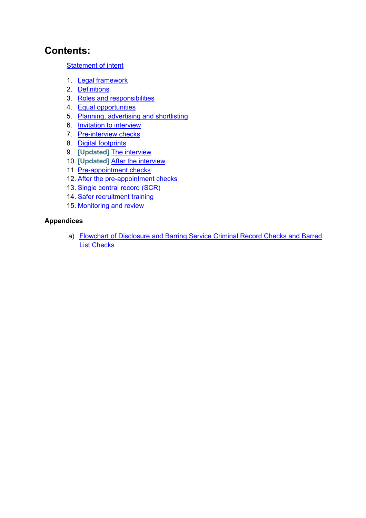#### **Contents:**

#### Statement of intent

- 1. Legal framework
- 2. Definitions
- 3. Roles and responsibilities
- 4. Equal opportunities
- 5. Planning, advertising and shortlisting
- 6. Invitation to interview
- 7. Pre-interview checks
- 8. Digital footprints
- 9. **[Updated]** The interview
- 10. **[Updated]** After the interview
- 11. Pre-appointment checks
- 12. After the pre-appointment checks
- 13. Single central record (SCR)
- 14. Safer recruitment training
- 15. Monitoring and review

#### **Appendices**

a) Flowchart of Disclosure and Barring Service Criminal Record Checks and Barred List Checks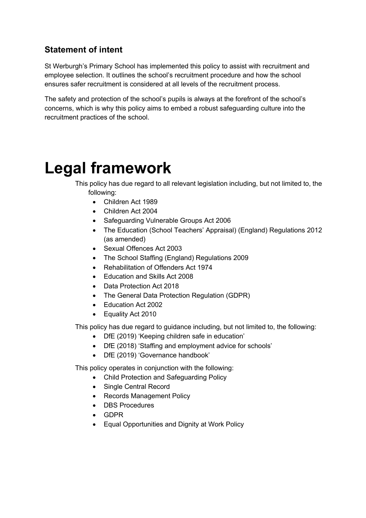#### **Statement of intent**

St Werburgh's Primary School has implemented this policy to assist with recruitment and employee selection. It outlines the school's recruitment procedure and how the school ensures safer recruitment is considered at all levels of the recruitment process.

The safety and protection of the school's pupils is always at the forefront of the school's concerns, which is why this policy aims to embed a robust safeguarding culture into the recruitment practices of the school.

## **Legal framework**

This policy has due regard to all relevant legislation including, but not limited to, the following:

- Children Act 1989
- Children Act 2004
- Safeguarding Vulnerable Groups Act 2006
- The Education (School Teachers' Appraisal) (England) Regulations 2012 (as amended)
- Sexual Offences Act 2003
- The School Staffing (England) Regulations 2009
- Rehabilitation of Offenders Act 1974
- Education and Skills Act 2008
- Data Protection Act 2018
- The General Data Protection Regulation (GDPR)
- Education Act 2002
- Equality Act 2010

This policy has due regard to guidance including, but not limited to, the following:

- DfE (2019) 'Keeping children safe in education'
- DfE (2018) 'Staffing and employment advice for schools'
- DfE (2019) 'Governance handbook'

This policy operates in conjunction with the following:

- Child Protection and Safeguarding Policy
- Single Central Record
- Records Management Policy
- DBS Procedures
- GDPR
- Equal Opportunities and Dignity at Work Policy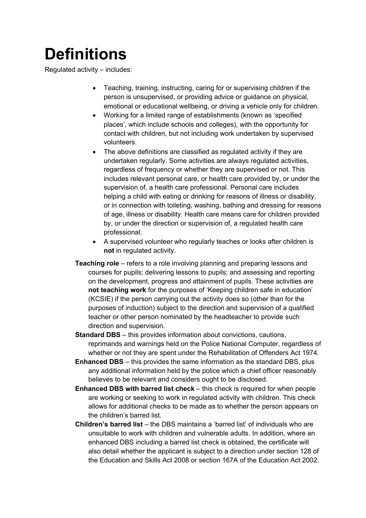## **Definitions**

Regulated activity – includes:

- Teaching, training, instructing, caring for or supervising children if the person is unsupervised, or providing advice or guidance on physical, emotional or educational wellbeing, or driving a vehicle only for children.
- Working for a limited range of establishments (known as 'specified places', which include schools and colleges), with the opportunity for contact with children, but not including work undertaken by supervised volunteers.
- The above definitions are classified as regulated activity if they are undertaken regularly. Some activities are always regulated activities, regardless of frequency or whether they are supervised or not. This includes relevant personal care, or health care provided by, or under the supervision of, a health care professional. Personal care includes helping a child with eating or drinking for reasons of illness or disability, or in connection with toileting, washing, bathing and dressing for reasons of age, illness or disability. Health care means care for children provided by, or under the direction or supervision of, a regulated health care professional.
- A supervised volunteer who regularly teaches or looks after children is **not** in regulated activity.
- **Teaching role**  refers to a role involving planning and preparing lessons and courses for pupils; delivering lessons to pupils; and assessing and reporting on the development, progress and attainment of pupils. These activities are **not teaching work** for the purposes of 'Keeping children safe in education' (KCSIE) if the person carrying out the activity does so (other than for the purposes of induction) subject to the direction and supervision of a qualified teacher or other person nominated by the headteacher to provide such direction and supervision.
- **Standard DBS**  this provides information about convictions, cautions, reprimands and warnings held on the Police National Computer, regardless of whether or not they are spent under the Rehabilitation of Offenders Act 1974.
- **Enhanced DBS**  this provides the same information as the standard DBS, plus any additional information held by the police which a chief officer reasonably believes to be relevant and considers ought to be disclosed.
- **Enhanced DBS with barred list check**  this check is required for when people are working or seeking to work in regulated activity with children. This check allows for additional checks to be made as to whether the person appears on the children's barred list.
- **Children's barred list**  the DBS maintains a 'barred list' of individuals who are unsuitable to work with children and vulnerable adults. In addition, where an enhanced DBS including a barred list check is obtained, the certificate will also detail whether the applicant is subject to a direction under section 128 of the Education and Skills Act 2008 or section 167A of the Education Act 2002.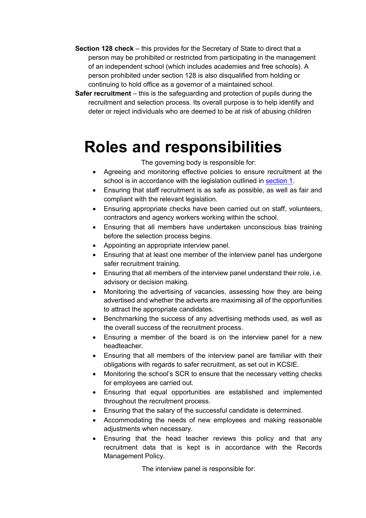- **Section 128 check**  this provides for the Secretary of State to direct that a person may be prohibited or restricted from participating in the management of an independent school (which includes academies and free schools). A person prohibited under section 128 is also disqualified from holding or continuing to hold office as a governor of a maintained school.
- **Safer recruitment** this is the safeguarding and protection of pupils during the recruitment and selection process. Its overall purpose is to help identify and deter or reject individuals who are deemed to be at risk of abusing children

### **Roles and responsibilities**

The governing body is responsible for:

- Agreeing and monitoring effective policies to ensure recruitment at the school is in accordance with the legislation outlined in section 1.
- Ensuring that staff recruitment is as safe as possible, as well as fair and compliant with the relevant legislation.
- Ensuring appropriate checks have been carried out on staff, volunteers, contractors and agency workers working within the school.
- Ensuring that all members have undertaken unconscious bias training before the selection process begins.
- Appointing an appropriate interview panel.
- Ensuring that at least one member of the interview panel has undergone safer recruitment training.
- Ensuring that all members of the interview panel understand their role, i.e. advisory or decision making.
- Monitoring the advertising of vacancies, assessing how they are being advertised and whether the adverts are maximising all of the opportunities to attract the appropriate candidates.
- Benchmarking the success of any advertising methods used, as well as the overall success of the recruitment process.
- Ensuring a member of the board is on the interview panel for a new headteacher.
- Ensuring that all members of the interview panel are familiar with their obligations with regards to safer recruitment, as set out in KCSIE.
- Monitoring the school's SCR to ensure that the necessary vetting checks for employees are carried out.
- Ensuring that equal opportunities are established and implemented throughout the recruitment process.
- Ensuring that the salary of the successful candidate is determined.
- Accommodating the needs of new employees and making reasonable adjustments when necessary.
- Ensuring that the head teacher reviews this policy and that any recruitment data that is kept is in accordance with the Records Management Policy.

The interview panel is responsible for: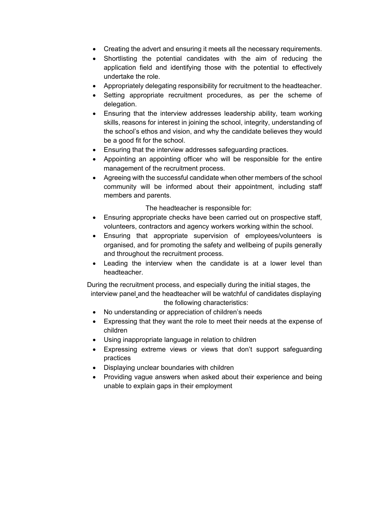- Creating the advert and ensuring it meets all the necessary requirements.
- Shortlisting the potential candidates with the aim of reducing the application field and identifying those with the potential to effectively undertake the role.
- Appropriately delegating responsibility for recruitment to the headteacher.
- Setting appropriate recruitment procedures, as per the scheme of delegation.
- Ensuring that the interview addresses leadership ability, team working skills, reasons for interest in joining the school, integrity, understanding of the school's ethos and vision, and why the candidate believes they would be a good fit for the school.
- Ensuring that the interview addresses safeguarding practices.
- Appointing an appointing officer who will be responsible for the entire management of the recruitment process.
- Agreeing with the successful candidate when other members of the school community will be informed about their appointment, including staff members and parents.

The headteacher is responsible for:

- Ensuring appropriate checks have been carried out on prospective staff, volunteers, contractors and agency workers working within the school.
- Ensuring that appropriate supervision of employees/volunteers is organised, and for promoting the safety and wellbeing of pupils generally and throughout the recruitment process.
- Leading the interview when the candidate is at a lower level than headteacher.

During the recruitment process, and especially during the initial stages, the interview panel and the headteacher will be watchful of candidates displaying the following characteristics:

- No understanding or appreciation of children's needs
- Expressing that they want the role to meet their needs at the expense of children
- Using inappropriate language in relation to children
- Expressing extreme views or views that don't support safeguarding practices
- Displaying unclear boundaries with children
- Providing vague answers when asked about their experience and being unable to explain gaps in their employment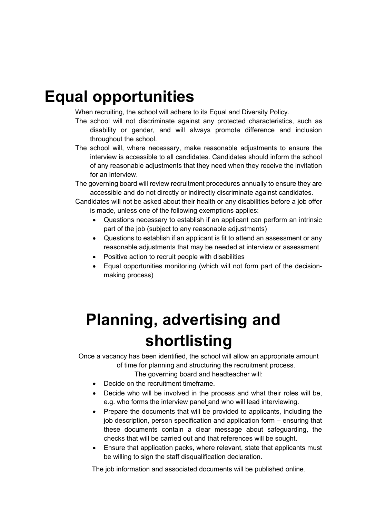### **Equal opportunities**

When recruiting, the school will adhere to its Equal and Diversity Policy.

- The school will not discriminate against any protected characteristics, such as disability or gender, and will always promote difference and inclusion throughout the school.
- The school will, where necessary, make reasonable adjustments to ensure the interview is accessible to all candidates. Candidates should inform the school of any reasonable adjustments that they need when they receive the invitation for an interview.

The governing board will review recruitment procedures annually to ensure they are accessible and do not directly or indirectly discriminate against candidates.

Candidates will not be asked about their health or any disabilities before a job offer is made, unless one of the following exemptions applies:

- Questions necessary to establish if an applicant can perform an intrinsic part of the job (subject to any reasonable adjustments)
- Questions to establish if an applicant is fit to attend an assessment or any reasonable adjustments that may be needed at interview or assessment
- Positive action to recruit people with disabilities
- Equal opportunities monitoring (which will not form part of the decisionmaking process)

## **Planning, advertising and shortlisting**

Once a vacancy has been identified, the school will allow an appropriate amount of time for planning and structuring the recruitment process.

The governing board and headteacher will:

- Decide on the recruitment timeframe.
- Decide who will be involved in the process and what their roles will be, e.g. who forms the interview panel and who will lead interviewing.
- Prepare the documents that will be provided to applicants, including the job description, person specification and application form – ensuring that these documents contain a clear message about safeguarding, the checks that will be carried out and that references will be sought.
- Ensure that application packs, where relevant, state that applicants must be willing to sign the staff disqualification declaration.

The job information and associated documents will be published online.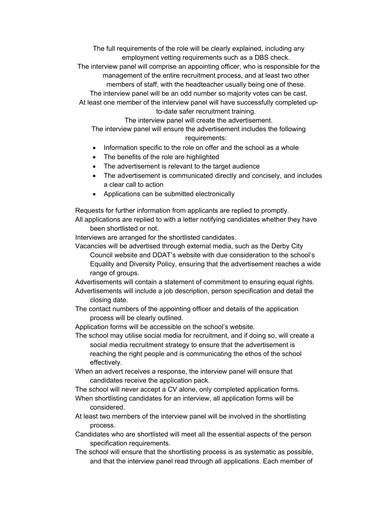The full requirements of the role will be clearly explained, including any employment vetting requirements such as a DBS check.

The interview panel will comprise an appointing officer, who is responsible for the management of the entire recruitment process, and at least two other members of staff, with the headteacher usually being one of these.

The interview panel will be an odd number so majority votes can be cast.

At least one member of the interview panel will have successfully completed upto-date safer recruitment training.

The interview panel will create the advertisement. The interview panel will ensure the advertisement includes the following

#### requirements:

- Information specific to the role on offer and the school as a whole
- The benefits of the role are highlighted
- The advertisement is relevant to the target audience
- The advertisement is communicated directly and concisely, and includes a clear call to action
- Applications can be submitted electronically

Requests for further information from applicants are replied to promptly.

All applications are replied to with a letter notifying candidates whether they have been shortlisted or not.

Interviews are arranged for the shortlisted candidates.

Vacancies will be advertised through external media, such as the Derby City

Council website and DDAT's website with due consideration to the school's Equality and Diversity Policy, ensuring that the advertisement reaches a wide range of groups.

Advertisements will contain a statement of commitment to ensuring equal rights. Advertisements will include a job description, person specification and detail the

- closing date.
- The contact numbers of the appointing officer and details of the application process will be clearly outlined.
- Application forms will be accessible on the school's website.
- The school may utilise social media for recruitment, and if doing so, will create a social media recruitment strategy to ensure that the advertisement is reaching the right people and is communicating the ethos of the school effectively.
- When an advert receives a response, the interview panel will ensure that candidates receive the application pack.

The school will never accept a CV alone, only completed application forms.

- When shortlisting candidates for an interview, all application forms will be considered.
- At least two members of the interview panel will be involved in the shortlisting process.
- Candidates who are shortlisted will meet all the essential aspects of the person specification requirements.
- The school will ensure that the shortlisting process is as systematic as possible, and that the interview panel read through all applications. Each member of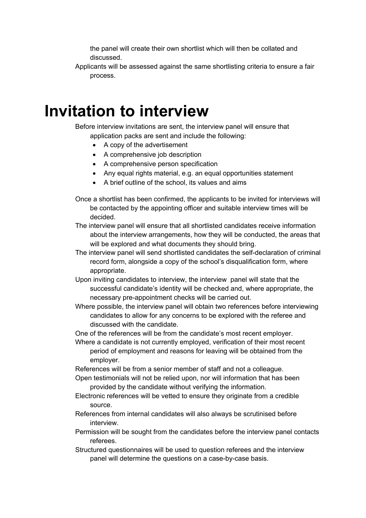the panel will create their own shortlist which will then be collated and discussed.

Applicants will be assessed against the same shortlisting criteria to ensure a fair process.

#### **Invitation to interview**

Before interview invitations are sent, the interview panel will ensure that application packs are sent and include the following:

- A copy of the advertisement
- A comprehensive job description
- A comprehensive person specification
- Any equal rights material, e.g. an equal opportunities statement
- A brief outline of the school, its values and aims
- Once a shortlist has been confirmed, the applicants to be invited for interviews will be contacted by the appointing officer and suitable interview times will be decided.
- The interview panel will ensure that all shortlisted candidates receive information about the interview arrangements, how they will be conducted, the areas that will be explored and what documents they should bring.
- The interview panel will send shortlisted candidates the self-declaration of criminal record form, alongside a copy of the school's disqualification form, where appropriate.
- Upon inviting candidates to interview, the interview panel will state that the successful candidate's identity will be checked and, where appropriate, the necessary pre-appointment checks will be carried out.
- Where possible, the interview panel will obtain two references before interviewing candidates to allow for any concerns to be explored with the referee and discussed with the candidate.
- One of the references will be from the candidate's most recent employer.
- Where a candidate is not currently employed, verification of their most recent period of employment and reasons for leaving will be obtained from the employer.
- References will be from a senior member of staff and not a colleague.
- Open testimonials will not be relied upon, nor will information that has been provided by the candidate without verifying the information.
- Electronic references will be vetted to ensure they originate from a credible source.
- References from internal candidates will also always be scrutinised before interview.
- Permission will be sought from the candidates before the interview panel contacts referees.
- Structured questionnaires will be used to question referees and the interview panel will determine the questions on a case-by-case basis.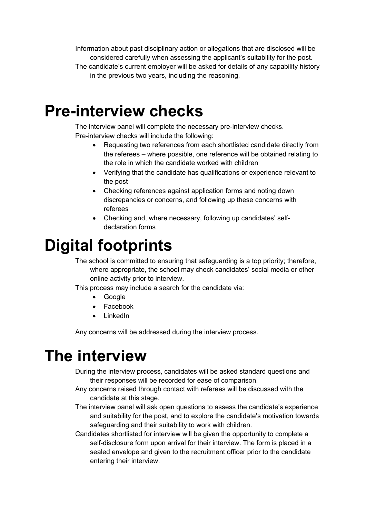Information about past disciplinary action or allegations that are disclosed will be considered carefully when assessing the applicant's suitability for the post. The candidate's current employer will be asked for details of any capability history in the previous two years, including the reasoning.

### **Pre-interview checks**

The interview panel will complete the necessary pre-interview checks. Pre-interview checks will include the following:

- Requesting two references from each shortlisted candidate directly from the referees – where possible, one reference will be obtained relating to the role in which the candidate worked with children
- Verifying that the candidate has qualifications or experience relevant to the post
- Checking references against application forms and noting down discrepancies or concerns, and following up these concerns with referees
- Checking and, where necessary, following up candidates' selfdeclaration forms

## **Digital footprints**

The school is committed to ensuring that safeguarding is a top priority; therefore, where appropriate, the school may check candidates' social media or other online activity prior to interview.

This process may include a search for the candidate via:

- Google
- Facebook
- LinkedIn

Any concerns will be addressed during the interview process.

### **The interview**

During the interview process, candidates will be asked standard questions and their responses will be recorded for ease of comparison.

- Any concerns raised through contact with referees will be discussed with the candidate at this stage.
- The interview panel will ask open questions to assess the candidate's experience and suitability for the post, and to explore the candidate's motivation towards safeguarding and their suitability to work with children.
- Candidates shortlisted for interview will be given the opportunity to complete a self-disclosure form upon arrival for their interview. The form is placed in a sealed envelope and given to the recruitment officer prior to the candidate entering their interview.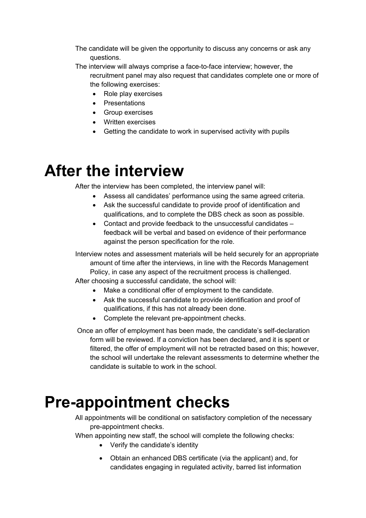- The candidate will be given the opportunity to discuss any concerns or ask any questions.
- The interview will always comprise a face-to-face interview; however, the recruitment panel may also request that candidates complete one or more of the following exercises:
	- Role play exercises
	- Presentations
	- Group exercises
	- Written exercises
	- Getting the candidate to work in supervised activity with pupils

### **After the interview**

After the interview has been completed, the interview panel will:

- Assess all candidates' performance using the same agreed criteria.
- Ask the successful candidate to provide proof of identification and qualifications, and to complete the DBS check as soon as possible.
- Contact and provide feedback to the unsuccessful candidates feedback will be verbal and based on evidence of their performance against the person specification for the role.

Interview notes and assessment materials will be held securely for an appropriate amount of time after the interviews, in line with the Records Management Policy, in case any aspect of the recruitment process is challenged.

After choosing a successful candidate, the school will:

- Make a conditional offer of employment to the candidate.
- Ask the successful candidate to provide identification and proof of qualifications, if this has not already been done.
- Complete the relevant pre-appointment checks.

Once an offer of employment has been made, the candidate's self-declaration form will be reviewed. If a conviction has been declared, and it is spent or filtered, the offer of employment will not be retracted based on this; however, the school will undertake the relevant assessments to determine whether the candidate is suitable to work in the school.

### **Pre-appointment checks**

All appointments will be conditional on satisfactory completion of the necessary pre-appointment checks.

When appointing new staff, the school will complete the following checks:

- Verify the candidate's identity
- Obtain an enhanced DBS certificate (via the applicant) and, for candidates engaging in regulated activity, barred list information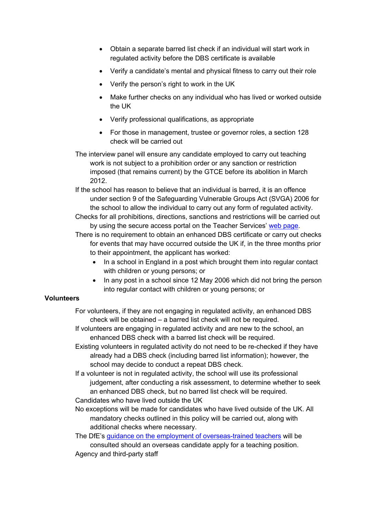- Obtain a separate barred list check if an individual will start work in regulated activity before the DBS certificate is available
- Verify a candidate's mental and physical fitness to carry out their role
- Verify the person's right to work in the UK
- Make further checks on any individual who has lived or worked outside the UK
- Verify professional qualifications, as appropriate
- For those in management, trustee or governor roles, a section 128 check will be carried out
- The interview panel will ensure any candidate employed to carry out teaching work is not subject to a prohibition order or any sanction or restriction imposed (that remains current) by the GTCE before its abolition in March 2012.
- If the school has reason to believe that an individual is barred, it is an offence under section 9 of the Safeguarding Vulnerable Groups Act (SVGA) 2006 for the school to allow the individual to carry out any form of regulated activity.
- Checks for all prohibitions, directions, sanctions and restrictions will be carried out by using the secure access portal on the Teacher Services' web page.

There is no requirement to obtain an enhanced DBS certificate or carry out checks for events that may have occurred outside the UK if, in the three months prior to their appointment, the applicant has worked:

- In a school in England in a post which brought them into regular contact with children or young persons; or
- In any post in a school since 12 May 2006 which did not bring the person into regular contact with children or young persons; or

#### **Volunteers**

- For volunteers, if they are not engaging in regulated activity, an enhanced DBS check will be obtained – a barred list check will not be required.
- If volunteers are engaging in regulated activity and are new to the school, an enhanced DBS check with a barred list check will be required.
- Existing volunteers in regulated activity do not need to be re-checked if they have already had a DBS check (including barred list information); however, the school may decide to conduct a repeat DBS check.
- If a volunteer is not in regulated activity, the school will use its professional judgement, after conducting a risk assessment, to determine whether to seek an enhanced DBS check, but no barred list check will be required. Candidates who have lived outside the UK
- No exceptions will be made for candidates who have lived outside of the UK. All mandatory checks outlined in this policy will be carried out, along with additional checks where necessary.

The DfE's guidance on the employment of overseas-trained teachers will be consulted should an overseas candidate apply for a teaching position. Agency and third-party staff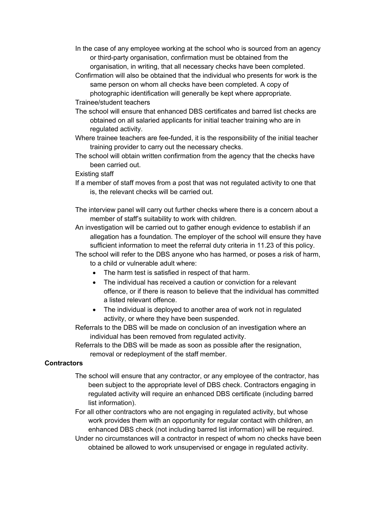- In the case of any employee working at the school who is sourced from an agency or third-party organisation, confirmation must be obtained from the organisation, in writing, that all necessary checks have been completed.
- Confirmation will also be obtained that the individual who presents for work is the same person on whom all checks have been completed. A copy of photographic identification will generally be kept where appropriate. Trainee/student teachers
- The school will ensure that enhanced DBS certificates and barred list checks are
- obtained on all salaried applicants for initial teacher training who are in regulated activity.
- Where trainee teachers are fee-funded, it is the responsibility of the initial teacher training provider to carry out the necessary checks.
- The school will obtain written confirmation from the agency that the checks have been carried out.
- Existing staff
- If a member of staff moves from a post that was not regulated activity to one that is, the relevant checks will be carried out.
- The interview panel will carry out further checks where there is a concern about a member of staff's suitability to work with children.
- An investigation will be carried out to gather enough evidence to establish if an allegation has a foundation. The employer of the school will ensure they have sufficient information to meet the referral duty criteria in 11.23 of this policy.
- The school will refer to the DBS anyone who has harmed, or poses a risk of harm, to a child or vulnerable adult where:
	- The harm test is satisfied in respect of that harm.
	- The individual has received a caution or conviction for a relevant offence, or if there is reason to believe that the individual has committed a listed relevant offence.
	- The individual is deployed to another area of work not in regulated activity, or where they have been suspended.
- Referrals to the DBS will be made on conclusion of an investigation where an individual has been removed from regulated activity.
- Referrals to the DBS will be made as soon as possible after the resignation, removal or redeployment of the staff member.

#### **Contractors**

- The school will ensure that any contractor, or any employee of the contractor, has been subject to the appropriate level of DBS check. Contractors engaging in regulated activity will require an enhanced DBS certificate (including barred list information).
- For all other contractors who are not engaging in regulated activity, but whose work provides them with an opportunity for regular contact with children, an enhanced DBS check (not including barred list information) will be required.
- Under no circumstances will a contractor in respect of whom no checks have been obtained be allowed to work unsupervised or engage in regulated activity.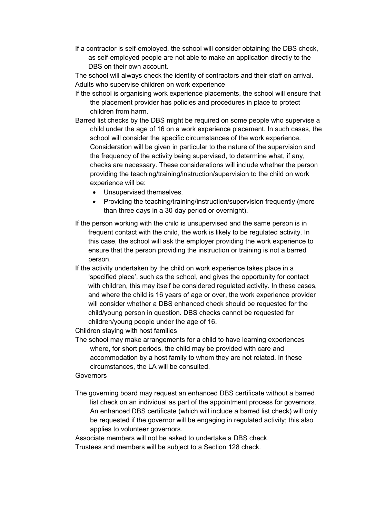If a contractor is self-employed, the school will consider obtaining the DBS check, as self-employed people are not able to make an application directly to the DBS on their own account.

The school will always check the identity of contractors and their staff on arrival. Adults who supervise children on work experience

- If the school is organising work experience placements, the school will ensure that the placement provider has policies and procedures in place to protect children from harm.
- Barred list checks by the DBS might be required on some people who supervise a child under the age of 16 on a work experience placement. In such cases, the school will consider the specific circumstances of the work experience. Consideration will be given in particular to the nature of the supervision and the frequency of the activity being supervised, to determine what, if any, checks are necessary. These considerations will include whether the person providing the teaching/training/instruction/supervision to the child on work experience will be:
	- Unsupervised themselves.
	- Providing the teaching/training/instruction/supervision frequently (more than three days in a 30-day period or overnight).
- If the person working with the child is unsupervised and the same person is in frequent contact with the child, the work is likely to be regulated activity. In this case, the school will ask the employer providing the work experience to ensure that the person providing the instruction or training is not a barred person.
- If the activity undertaken by the child on work experience takes place in a 'specified place', such as the school, and gives the opportunity for contact with children, this may itself be considered regulated activity. In these cases, and where the child is 16 years of age or over, the work experience provider will consider whether a DBS enhanced check should be requested for the child/young person in question. DBS checks cannot be requested for children/young people under the age of 16.

Children staying with host families

The school may make arrangements for a child to have learning experiences where, for short periods, the child may be provided with care and accommodation by a host family to whom they are not related. In these circumstances, the LA will be consulted.

#### Governors

The governing board may request an enhanced DBS certificate without a barred list check on an individual as part of the appointment process for governors. An enhanced DBS certificate (which will include a barred list check) will only be requested if the governor will be engaging in regulated activity; this also applies to volunteer governors.

Associate members will not be asked to undertake a DBS check.

Trustees and members will be subject to a Section 128 check.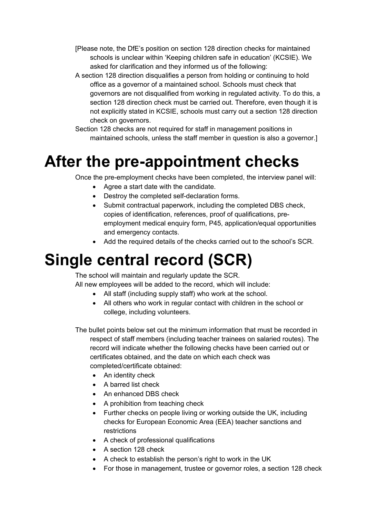- [Please note, the DfE's position on section 128 direction checks for maintained schools is unclear within 'Keeping children safe in education' (KCSIE). We asked for clarification and they informed us of the following:
- A section 128 direction disqualifies a person from holding or continuing to hold office as a governor of a maintained school. Schools must check that governors are not disqualified from working in regulated activity. To do this, a section 128 direction check must be carried out. Therefore, even though it is not explicitly stated in KCSIE, schools must carry out a section 128 direction check on governors.
- Section 128 checks are not required for staff in management positions in maintained schools, unless the staff member in question is also a governor.]

## **After the pre-appointment checks**

Once the pre-employment checks have been completed, the interview panel will:

- Agree a start date with the candidate.
- Destroy the completed self-declaration forms.
- Submit contractual paperwork, including the completed DBS check, copies of identification, references, proof of qualifications, preemployment medical enquiry form, P45, application/equal opportunities and emergency contacts.
- Add the required details of the checks carried out to the school's SCR.

## **Single central record (SCR)**

The school will maintain and regularly update the SCR.

All new employees will be added to the record, which will include:

- All staff (including supply staff) who work at the school.
- All others who work in regular contact with children in the school or college, including volunteers.

The bullet points below set out the minimum information that must be recorded in respect of staff members (including teacher trainees on salaried routes). The record will indicate whether the following checks have been carried out or certificates obtained, and the date on which each check was completed/certificate obtained:

- An identity check
- A barred list check
- An enhanced DBS check
- A prohibition from teaching check
- Further checks on people living or working outside the UK, including checks for European Economic Area (EEA) teacher sanctions and restrictions
- A check of professional qualifications
- A section 128 check
- A check to establish the person's right to work in the UK
- For those in management, trustee or governor roles, a section 128 check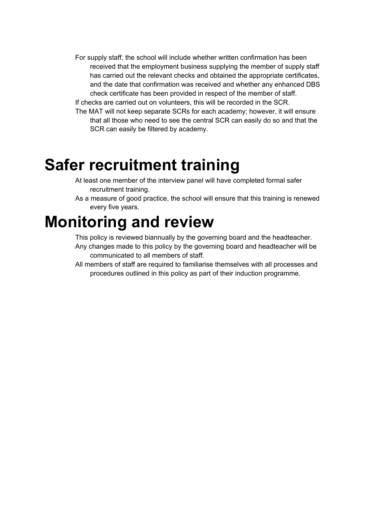- For supply staff, the school will include whether written confirmation has been received that the employment business supplying the member of supply staff has carried out the relevant checks and obtained the appropriate certificates, and the date that confirmation was received and whether any enhanced DBS check certificate has been provided in respect of the member of staff. If checks are carried out on volunteers, this will be recorded in the SCR.
- The MAT will not keep separate SCRs for each academy; however, it will ensure that all those who need to see the central SCR can easily do so and that the SCR can easily be filtered by academy.

### **Safer recruitment training**

- At least one member of the interview panel will have completed formal safer recruitment training.
- As a measure of good practice, the school will ensure that this training is renewed every five years.

### **Monitoring and review**

This policy is reviewed biannually by the governing board and the headteacher.

- Any changes made to this policy by the governing board and headteacher will be communicated to all members of staff.
- All members of staff are required to familiarise themselves with all processes and procedures outlined in this policy as part of their induction programme.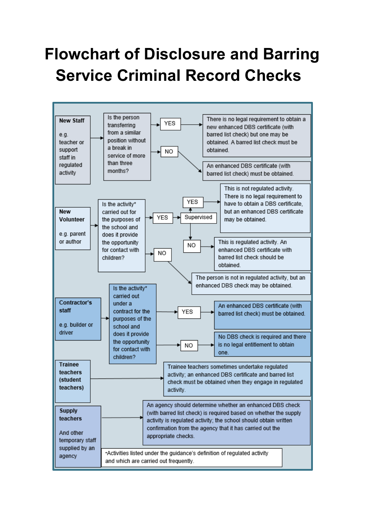# **Flowchart of Disclosure and Barring Service Criminal Record Checks**